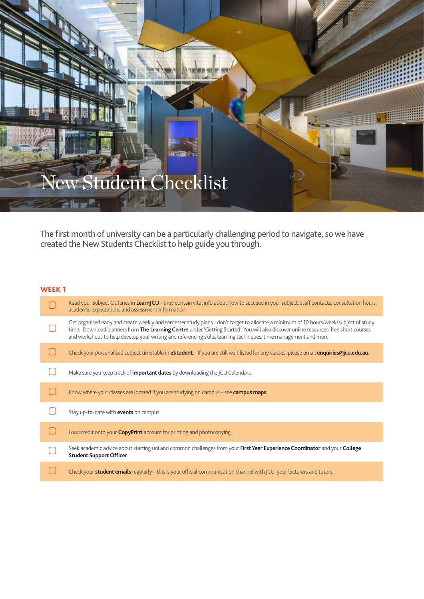# ew Student Checklist **LET**

The first month of university can be a particularly challenging period to navigate, so we have created the New Students Checklist to help guide you through.

salle

# **WEEK 1**

| Read your Subject Outlines in LearnJCU - they contain vital info about how to succeed in your subject, staff contacts, consultation hours,<br>academic expectations and assessment information.                                                                                                                                                                                                     |
|-----------------------------------------------------------------------------------------------------------------------------------------------------------------------------------------------------------------------------------------------------------------------------------------------------------------------------------------------------------------------------------------------------|
| Get organised early and create weekly and semester study plans - don't forget to allocate a minimum of 10 hours/week/subject of study<br>time. Download planners from The Learning Centre under 'Getting Started'. You will also discover online resources, free short courses<br>and workshops to help develop your writing and referencing skills, learning techniques, time management and more. |
| Check your personalised subject timetable in <b>eStudent</b> . If you are still wait listed for any classes, please email <b>enquiries@jcu.edu.au</b> .                                                                                                                                                                                                                                             |
| Make sure you keep track of <b>important dates</b> by downloading the JCU Calendars.                                                                                                                                                                                                                                                                                                                |
| Know where your classes are located if you are studying on campus – see <b>campus maps</b> .                                                                                                                                                                                                                                                                                                        |
| Stay up-to-date with <b>events</b> on campus.                                                                                                                                                                                                                                                                                                                                                       |
| Load credit onto your <b>CopyPrint</b> account for printing and photocopying.                                                                                                                                                                                                                                                                                                                       |
| Seek academic advice about starting uni and common challenges from your First Year Experience Coordinator and your College<br><b>Student Support Officer.</b>                                                                                                                                                                                                                                       |
| Check your <b>student emails</b> regularly – this is your official communication channel with JCU, your lecturers and tutors.                                                                                                                                                                                                                                                                       |